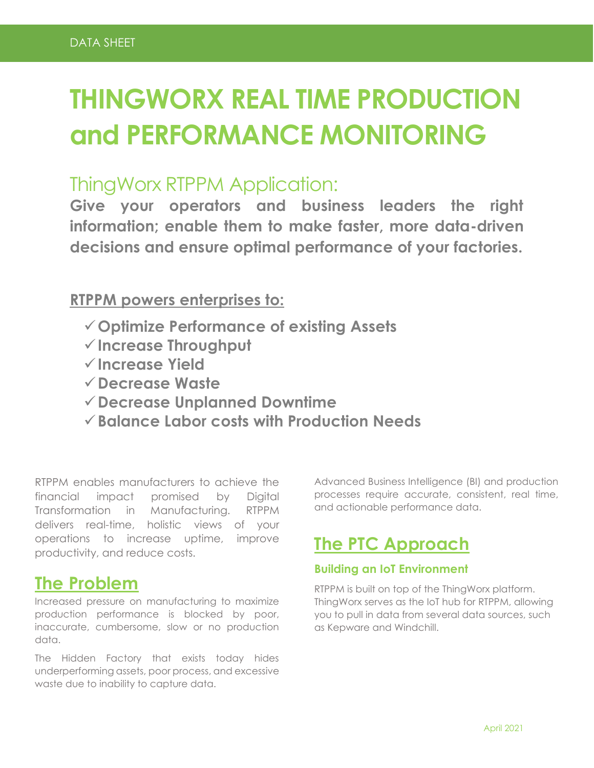# **THINGWORX REAL TIME PRODUCTION and PERFORMANCE MONITORING**

# ThingWorx RTPPM Application:

**Give your operators and business leaders the right information; enable them to make faster, more data-driven decisions and ensure optimal performance of your factories.**

### **RTPPM powers enterprises to:**

- ✓**Optimize Performance of existing Assets**
- ✓**Increase Throughput**
- ✓**Increase Yield**
- ✓**Decrease Waste**
- ✓**Decrease Unplanned Downtime**
- ✓**Balance Labor costs with Production Needs**

RTPPM enables manufacturers to achieve the financial impact promised by Digital Transformation in Manufacturing. RTPPM delivers real-time, holistic views of your operations to increase uptime, improve productivity, and reduce costs.

## **The Problem**

Increased pressure on manufacturing to maximize production performance is blocked by poor, inaccurate, cumbersome, slow or no production data.

The Hidden Factory that exists today hides underperforming assets, poor process, and excessive waste due to inability to capture data.

Advanced Business Intelligence (BI) and production processes require accurate, consistent, real time, and actionable performance data.

# **The PTC Approach**

### **Building an IoT Environment**

RTPPM is built on top of the ThingWorx platform. ThingWorx serves as the IoT hub for RTPPM, allowing you to pull in data from several data sources, such as Kepware and Windchill.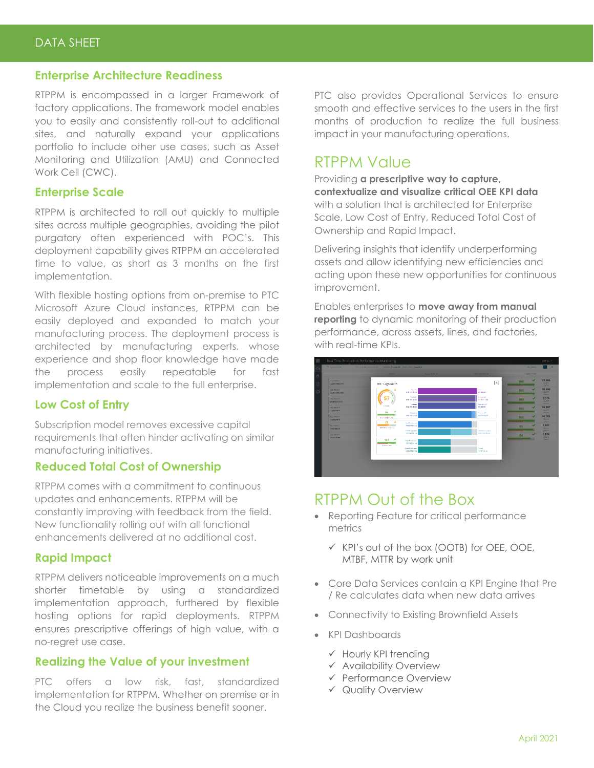#### **Enterprise Architecture Readiness**

RTPPM is encompassed in a larger Framework of factory applications. The framework model enables you to easily and consistently roll-out to additional sites, and naturally expand your applications portfolio to include other use cases, such as Asset Monitoring and Utilization (AMU) and Connected Work Cell (CWC).

#### **Enterprise Scale**

RTPPM is architected to roll out quickly to multiple sites across multiple geographies, avoiding the pilot purgatory often experienced with POC's. This deployment capability gives RTPPM an accelerated time to value, as short as 3 months on the first implementation.

With flexible hosting options from on-premise to PTC Microsoft Azure Cloud instances, RTPPM can be easily deployed and expanded to match your manufacturing process. The deployment process is architected by manufacturing experts, whose experience and shop floor knowledge have made the process easily repeatable for fast implementation and scale to the full enterprise.

#### **Low Cost of Entry**

Subscription model removes excessive capital requirements that often hinder activating on similar manufacturing initiatives.

#### **Reduced Total Cost of Ownership**

RTPPM comes with a commitment to continuous updates and enhancements. RTPPM will be constantly improving with feedback from the field. New functionality rolling out with all functional enhancements delivered at no additional cost.

#### **Rapid Impact**

RTPPM delivers noticeable improvements on a much shorter timetable by using a standardized implementation approach, furthered by flexible hosting options for rapid deployments. RTPPM ensures prescriptive offerings of high value, with a no-regret use case.

#### **Realizing the Value of your investment**

PTC offers a low risk, fast, standardized implementation for RTPPM. Whether on premise or in the Cloud you realize the business benefit sooner.

PTC also provides Operational Services to ensure smooth and effective services to the users in the first months of production to realize the full business impact in your manufacturing operations.

### RTPPM Value

Providing **a prescriptive way to capture, contextualize and visualize critical OEE KPI data** with a solution that is architected for Enterprise Scale, Low Cost of Entry, Reduced Total Cost of Ownership and Rapid Impact.

Delivering insights that identify underperforming assets and allow identifying new efficiencies and acting upon these new opportunities for continuous improvement.

Enables enterprises to **move away from manual reporting** to dynamic monitoring of their production performance, across assets, lines, and factories, with real-time KPIs.



### RTPPM Out of the Box

- Reporting Feature for critical performance metrics
	- ✓ KPI's out of the box (OOTB) for OEE, OOE, MTBF, MTTR by work unit
- Core Data Services contain a KPI Engine that Pre / Re calculates data when new data arrives
- Connectivity to Existing Brownfield Assets
- KPI Dashboards
	- ✓ Hourly KPI trending
	- ✓ Availability Overview
	- ✓ Performance Overview
	- ✓ Quality Overview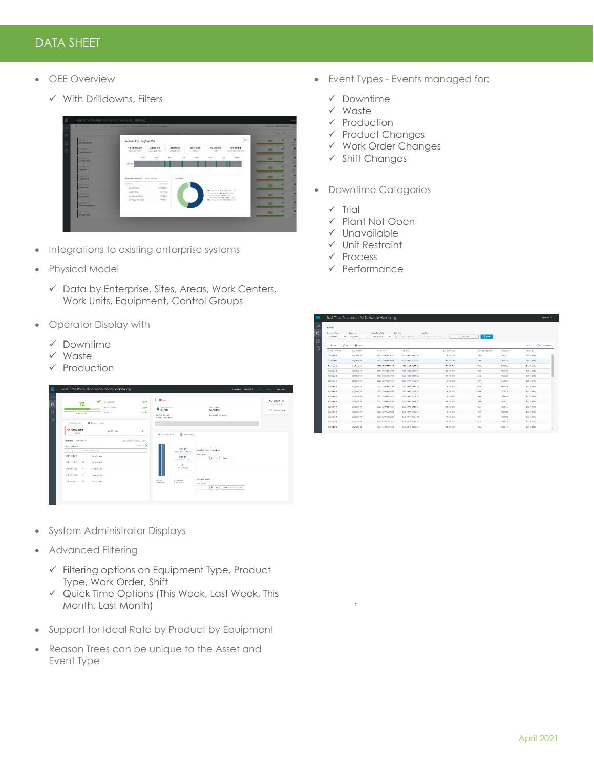- OEE Overview
	- ✓ With Drilldowns, Filters



- Integrations to existing enterprise systems
- Physical Model
	- ✓ Data by Enterprise, Sites, Areas, Work Centers, Work Units, Equipment, Control Groups
- Operator Display with
	- ✓ Downtime
	- ✓ Waste
	- ✓ Production

| $\checkmark$<br><b>ASSILABLITY</b><br>72<br>PERFORMALE<br><b>CEALITY</b><br><b>SHELTER IN</b>                                                                                   | 89%<br>81%<br>100%                        | <b>O</b> Servi<br>A new Mode Center<br>$O_{33710}$<br>Sarchner Parried<br>2020/12/14 08:49:34 | <b>Arthur October</b><br>5570012<br><b>Donald Old Panel</b>                        | <b>AUTOMATIC</b><br>OFFICIATIVE MODE<br><b>Call Magazi Made</b> |
|---------------------------------------------------------------------------------------------------------------------------------------------------------------------------------|-------------------------------------------|-----------------------------------------------------------------------------------------------|------------------------------------------------------------------------------------|-----------------------------------------------------------------|
| <b>B</b> Doversing History<br>+ New Downday<br>$0$ 00:02:55<br>Lunch Time<br>COMN<br>bounding Trissing ~                                                                        | ,<br><b>CITY Show Driv Maxing Roosers</b> | $0650 -$<br><b>B</b> Wentfloor<br>4 New World Coast                                           |                                                                                    |                                                                 |
| 6 Dours the Events<br><b>EUTRON BRASN</b><br>START THEF<br><b>Lunch Time</b><br>1244131210<br>$15 -$<br><b>Lucati Time</b><br>124411-0935<br>12-14080109<br>$\sim$<br>ChangeDom | Pages (1.2.3)                             | 20355<br>TOTAL PRODUCTION<br>20355<br><b>INTERFERENCE INC.</b><br>$\alpha$<br>TOMG MASTE      | Quick Edit Coad Production<br><b>Cour Current</b><br>$+1 -$<br><b>Balaco</b>       |                                                                 |
| Charasther<br>12-140712-00<br>$\sim$<br>12-140722-09<br>$\mathbf{D}$<br><b>Det broken</b>                                                                                       |                                           | <b>Average Kent</b><br><b>Ideal Sam</b><br><b>GCOD</b> en Ts<br><b>CORNER</b>                 | Ouldk Edit Waste<br><b>Ener Ocentre</b><br>÷<br>Count As Cool Production<br>$\sim$ |                                                                 |

- System Administrator Displays
- Advanced Filtering
	- ✓ Filtering options on Equipment Type, Product Type, Work Order, Shift
	- ✓ Quick Time Options (This Week, Last Week, This Month, Last Month)
- Support for Ideal Rate by Product by Equipment
- Reason Trees can be unique to the Asset and Event Type
- Event Types Events managed for:
	- ✓ Downtime
	- ✓ Waste
	- ✓ Production
	- ✓ Product Changes
	- ✓ Work Order Changes
	- ✓ Shift Changes
- Downtime Categories
	- $\checkmark$  Trial
	- ✓ Plant Not Open
	- ✓ Unavailable
	- ✓ Unit Restraint
	- ✓ Process
	- ✓ Performance

| Waste                        |                  |                       |                              |                   |                      |                |                        |
|------------------------------|------------------|-----------------------|------------------------------|-------------------|----------------------|----------------|------------------------|
| Distinction Type             | <b>Coupvert</b>  | OutdeTime Robert      | Said Time                    | <b>Craiting</b>   |                      |                |                        |
| <b>Diploment</b><br>×        | Lighteen M.<br>× | This Quarter<br>÷     | <sup>85</sup> 20-10 01:00:00 | 門 2012-1413:528   | T me<br>Q. Fratum    |                |                        |
| $\mathscr{L}$ and<br>$+$ car | <b>II</b> term   |                       |                              |                   |                      |                | 122733<br>227 Executor |
| голянски тинг                | <b>COURSES</b>   | CARETAIL              | <b>CLO TIVE</b>              | <b>OUMERY UCM</b> | <b>MADVETON CONT</b> | <b>FECOUST</b> | <b>SEASONS</b>         |
| Contement                    | Tegrivennia.     | 2020-10-06-10:30:20   | 2020-10:00 19:00:00          | 0.00 Carls        | 45000                | 1000313        | <b>Bet Quelly</b>      |
| <b>Davidon em</b>            | Tegravisms       | 2022/10/06 19:00:41   | 2020/10/07 07:52:12          | ston cast         | 42500                | 2020/14        | <b>Bettgretty</b>      |
| <b>Conference</b>            | Legislated by    | 2020-10-07-0722-12    | 2020 10:07:14:37:30          | 7500 Cafe         | 47500                | 2020144        | <b>Bettoneter</b>      |
| Conferent I                  | Leetwoods        | 2020-10-07 14:32:33   | 2020 10:00:00:27:01          | coco cam          | 43500                | 2523410        | <b>Bediginity</b>      |
| Conferent                    | Loctariota       | 2020-10-00 00:27:01   | 2020 10:00:00:59:40          | 65.00 Carty       | 45000                | 7523416        | <b>Bad Quality</b>     |
| <b>Conforment</b>            | Lockwools        | 2020-10-08 09:06:14   | 2020 10:00 14:32:45          | 45.00 Each        | 46000                | 1429506        | <b>Bad Quality</b>     |
| <b>Sculpment</b>             | Lociations       | 2020-10-00 14:32:48   | 2020 10:00 14:49:20          | 0.00 0.979        | 46030                | 1429516        | <b>Bod Quality</b>     |
| <b>Bouldment</b>             | Lociations       | 2023-10-08 14:50:27   | 2020-10-09-12:06:07          | 10.00 6525        | 45502                | 7326715        | <b>Bod Quality</b>     |
| Soul principt                | Logiszzona.      | 2020-10-09 12:00:07   | 2020-10-09 12:16:02          | $0.00 - 4521$     | 10004                | 709955         | Bod Quality            |
| scalpment                    | Logazzona.       | 2020-10-09 12:46:24   | 2020-10/09 16:46:07          | 40.00 8321        | 10604                | 2229727        | sociazed by            |
| sculptoors.                  | Logiczatria.     | 2020-TEAM TEAM DV     | 2020-10489-2030/38           | 29.00 8321        | 108/27               | 2220-727       | sociozadas             |
| sculptors.                   | Logica Values A. | 2012/1-10/09 20:50:55 | Stouts 16400 Station and     | 15.00 8321        | SCAND                | <b>KONDIN</b>  | sad creater            |
| locui princiti.              | Logiczatria      | 2020-10409 23:02:25   | 2020-10-10 03:27:00          | ruco sadi         | 10000                | <b>EXPANDS</b> | Bad Quality            |
| <b>Douglassed</b>            | LogGaratria.     | 2020-10-10 03:27:00   | 2020/10/10 06:01:21          | 15.00 (632)       | 105.00               | 1410173        | Bal Quiley             |